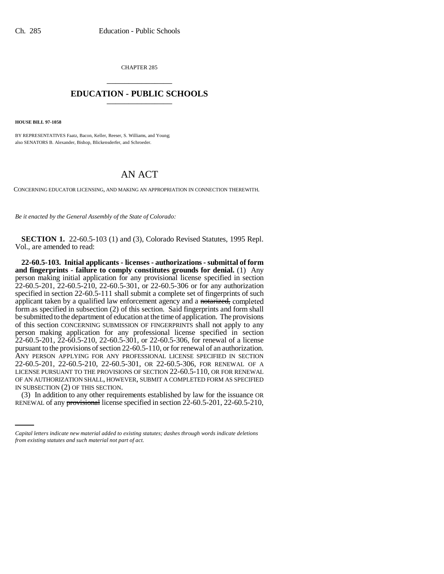CHAPTER 285 \_\_\_\_\_\_\_\_\_\_\_\_\_\_\_

## **EDUCATION - PUBLIC SCHOOLS** \_\_\_\_\_\_\_\_\_\_\_\_\_\_\_

**HOUSE BILL 97-1058**

BY REPRESENTATIVES Faatz, Bacon, Keller, Reeser, S. Williams, and Young; also SENATORS B. Alexander, Bishop, Blickensderfer, and Schroeder.

## AN ACT

CONCERNING EDUCATOR LICENSING, AND MAKING AN APPROPRIATION IN CONNECTION THEREWITH.

*Be it enacted by the General Assembly of the State of Colorado:*

**SECTION 1.** 22-60.5-103 (1) and (3), Colorado Revised Statutes, 1995 Repl. Vol., are amended to read:

IN SUBSECTION (2) OF THIS SECTION. **22-60.5-103. Initial applicants - licenses - authorizations - submittal of form and fingerprints - failure to comply constitutes grounds for denial.** (1) Any person making initial application for any provisional license specified in section 22-60.5-201, 22-60.5-210, 22-60.5-301, or 22-60.5-306 or for any authorization specified in section 22-60.5-111 shall submit a complete set of fingerprints of such applicant taken by a qualified law enforcement agency and a notarized, completed form as specified in subsection (2) of this section. Said fingerprints and form shall be submitted to the department of education at the time of application. The provisions of this section CONCERNING SUBMISSION OF FINGERPRINTS shall not apply to any person making application for any professional license specified in section 22-60.5-201, 22-60.5-210, 22-60.5-301, or 22-60.5-306, for renewal of a license pursuant to the provisions of section 22-60.5-110, or for renewal of an authorization. ANY PERSON APPLYING FOR ANY PROFESSIONAL LICENSE SPECIFIED IN SECTION 22-60.5-201, 22-60.5-210, 22-60.5-301, OR 22-60.5-306, FOR RENEWAL OF A LICENSE PURSUANT TO THE PROVISIONS OF SECTION 22-60.5-110, OR FOR RENEWAL OF AN AUTHORIZATION SHALL, HOWEVER, SUBMIT A COMPLETED FORM AS SPECIFIED

(3) In addition to any other requirements established by law for the issuance OR RENEWAL of any provisional license specified in section 22-60.5-201, 22-60.5-210,

*Capital letters indicate new material added to existing statutes; dashes through words indicate deletions from existing statutes and such material not part of act.*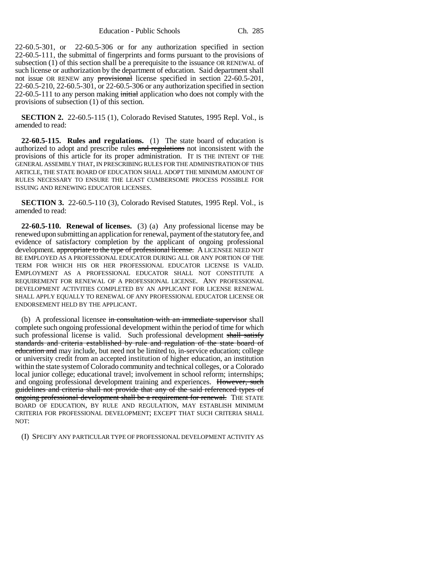22-60.5-301, or 22-60.5-306 or for any authorization specified in section 22-60.5-111, the submittal of fingerprints and forms pursuant to the provisions of subsection (1) of this section shall be a prerequisite to the issuance OR RENEWAL of such license or authorization by the department of education. Said department shall not issue OR RENEW any provisional license specified in section 22-60.5-201, 22-60.5-210, 22-60.5-301, or 22-60.5-306 or any authorization specified in section  $22-60.5-111$  to any person making initial application who does not comply with the provisions of subsection (1) of this section.

**SECTION 2.** 22-60.5-115 (1), Colorado Revised Statutes, 1995 Repl. Vol., is amended to read:

**22-60.5-115. Rules and regulations.** (1) The state board of education is authorized to adopt and prescribe rules and regulations not inconsistent with the provisions of this article for its proper administration. IT IS THE INTENT OF THE GENERAL ASSEMBLY THAT, IN PRESCRIBING RULES FOR THE ADMINISTRATION OF THIS ARTICLE, THE STATE BOARD OF EDUCATION SHALL ADOPT THE MINIMUM AMOUNT OF RULES NECESSARY TO ENSURE THE LEAST CUMBERSOME PROCESS POSSIBLE FOR ISSUING AND RENEWING EDUCATOR LICENSES.

**SECTION 3.** 22-60.5-110 (3), Colorado Revised Statutes, 1995 Repl. Vol., is amended to read:

**22-60.5-110. Renewal of licenses.** (3) (a) Any professional license may be renewed upon submitting an application for renewal, payment of the statutory fee, and evidence of satisfactory completion by the applicant of ongoing professional development. appropriate to the type of professional license. A LICENSEE NEED NOT BE EMPLOYED AS A PROFESSIONAL EDUCATOR DURING ALL OR ANY PORTION OF THE TERM FOR WHICH HIS OR HER PROFESSIONAL EDUCATOR LICENSE IS VALID. EMPLOYMENT AS A PROFESSIONAL EDUCATOR SHALL NOT CONSTITUTE A REQUIREMENT FOR RENEWAL OF A PROFESSIONAL LICENSE. ANY PROFESSIONAL DEVELOPMENT ACTIVITIES COMPLETED BY AN APPLICANT FOR LICENSE RENEWAL SHALL APPLY EQUALLY TO RENEWAL OF ANY PROFESSIONAL EDUCATOR LICENSE OR ENDORSEMENT HELD BY THE APPLICANT.

(b) A professional licensee in consultation with an immediate supervisor shall complete such ongoing professional development within the period of time for which such professional license is valid. Such professional development shall satisfy standards and criteria established by rule and regulation of the state board of education and may include, but need not be limited to, in-service education; college or university credit from an accepted institution of higher education, an institution within the state system of Colorado community and technical colleges, or a Colorado local junior college; educational travel; involvement in school reform; internships; and ongoing professional development training and experiences. However, such guidelines and criteria shall not provide that any of the said referenced types of ongoing professional development shall be a requirement for renewal. THE STATE BOARD OF EDUCATION, BY RULE AND REGULATION, MAY ESTABLISH MINIMUM CRITERIA FOR PROFESSIONAL DEVELOPMENT; EXCEPT THAT SUCH CRITERIA SHALL  $NOT'$ 

(I) SPECIFY ANY PARTICULAR TYPE OF PROFESSIONAL DEVELOPMENT ACTIVITY AS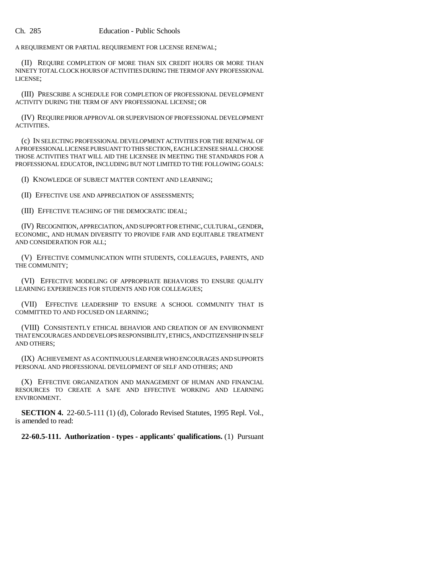A REQUIREMENT OR PARTIAL REQUIREMENT FOR LICENSE RENEWAL;

(II) REQUIRE COMPLETION OF MORE THAN SIX CREDIT HOURS OR MORE THAN NINETY TOTAL CLOCK HOURS OF ACTIVITIES DURING THE TERM OF ANY PROFESSIONAL LICENSE;

(III) PRESCRIBE A SCHEDULE FOR COMPLETION OF PROFESSIONAL DEVELOPMENT ACTIVITY DURING THE TERM OF ANY PROFESSIONAL LICENSE; OR

(IV) REQUIRE PRIOR APPROVAL OR SUPERVISION OF PROFESSIONAL DEVELOPMENT ACTIVITIES.

(c) IN SELECTING PROFESSIONAL DEVELOPMENT ACTIVITIES FOR THE RENEWAL OF A PROFESSIONAL LICENSE PURSUANT TO THIS SECTION, EACH LICENSEE SHALL CHOOSE THOSE ACTIVITIES THAT WILL AID THE LICENSEE IN MEETING THE STANDARDS FOR A PROFESSIONAL EDUCATOR, INCLUDING BUT NOT LIMITED TO THE FOLLOWING GOALS:

(I) KNOWLEDGE OF SUBJECT MATTER CONTENT AND LEARNING;

(II) EFFECTIVE USE AND APPRECIATION OF ASSESSMENTS;

(III) EFFECTIVE TEACHING OF THE DEMOCRATIC IDEAL;

(IV) RECOGNITION, APPRECIATION, AND SUPPORT FOR ETHNIC, CULTURAL, GENDER, ECONOMIC, AND HUMAN DIVERSITY TO PROVIDE FAIR AND EQUITABLE TREATMENT AND CONSIDERATION FOR ALL;

(V) EFFECTIVE COMMUNICATION WITH STUDENTS, COLLEAGUES, PARENTS, AND THE COMMUNITY;

(VI) EFFECTIVE MODELING OF APPROPRIATE BEHAVIORS TO ENSURE QUALITY LEARNING EXPERIENCES FOR STUDENTS AND FOR COLLEAGUES;

(VII) EFFECTIVE LEADERSHIP TO ENSURE A SCHOOL COMMUNITY THAT IS COMMITTED TO AND FOCUSED ON LEARNING;

(VIII) CONSISTENTLY ETHICAL BEHAVIOR AND CREATION OF AN ENVIRONMENT THAT ENCOURAGES AND DEVELOPS RESPONSIBILITY, ETHICS, AND CITIZENSHIP IN SELF AND OTHERS;

(IX) ACHIEVEMENT AS A CONTINUOUS LEARNER WHO ENCOURAGES AND SUPPORTS PERSONAL AND PROFESSIONAL DEVELOPMENT OF SELF AND OTHERS; AND

(X) EFFECTIVE ORGANIZATION AND MANAGEMENT OF HUMAN AND FINANCIAL RESOURCES TO CREATE A SAFE AND EFFECTIVE WORKING AND LEARNING ENVIRONMENT.

**SECTION 4.** 22-60.5-111 (1) (d), Colorado Revised Statutes, 1995 Repl. Vol., is amended to read:

**22-60.5-111. Authorization - types - applicants' qualifications.** (1) Pursuant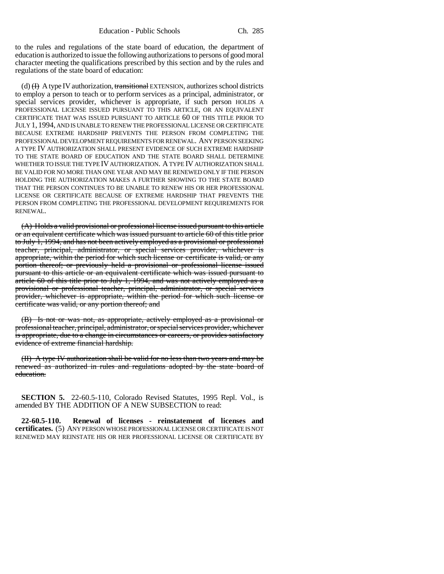to the rules and regulations of the state board of education, the department of education is authorized to issue the following authorizations to persons of good moral character meeting the qualifications prescribed by this section and by the rules and regulations of the state board of education:

(d)  $(H)$  A type IV authorization, transitional EXTENSION, authorizes school districts to employ a person to teach or to perform services as a principal, administrator, or special services provider, whichever is appropriate, if such person HOLDS A PROFESSIONAL LICENSE ISSUED PURSUANT TO THIS ARTICLE, OR AN EQUIVALENT CERTIFICATE THAT WAS ISSUED PURSUANT TO ARTICLE 60 OF THIS TITLE PRIOR TO JULY 1, 1994, AND IS UNABLE TO RENEW THE PROFESSIONAL LICENSE OR CERTIFICATE BECAUSE EXTREME HARDSHIP PREVENTS THE PERSON FROM COMPLETING THE PROFESSIONAL DEVELOPMENT REQUIREMENTS FOR RENEWAL. ANY PERSON SEEKING A TYPE IV AUTHORIZATION SHALL PRESENT EVIDENCE OF SUCH EXTREME HARDSHIP TO THE STATE BOARD OF EDUCATION AND THE STATE BOARD SHALL DETERMINE WHETHER TO ISSUE THE TYPE IV AUTHORIZATION. A TYPE IV AUTHORIZATION SHALL BE VALID FOR NO MORE THAN ONE YEAR AND MAY BE RENEWED ONLY IF THE PERSON HOLDING THE AUTHORIZATION MAKES A FURTHER SHOWING TO THE STATE BOARD THAT THE PERSON CONTINUES TO BE UNABLE TO RENEW HIS OR HER PROFESSIONAL LICENSE OR CERTIFICATE BECAUSE OF EXTREME HARDSHIP THAT PREVENTS THE PERSON FROM COMPLETING THE PROFESSIONAL DEVELOPMENT REQUIREMENTS FOR RENEWAL.

(A) Holds a valid provisional or professional license issued pursuant to this article or an equivalent certificate which was issued pursuant to article 60 of this title prior to July 1, 1994, and has not been actively employed as a provisional or professional teacher, principal, administrator, or special services provider, whichever is appropriate, within the period for which such license or certificate is valid, or any portion thereof; or previously held a provisional or professional license issued pursuant to this article or an equivalent certificate which was issued pursuant to article 60 of this title prior to July 1, 1994, and was not actively employed as a provisional or professional teacher, principal, administrator, or special services provider, whichever is appropriate, within the period for which such license or certificate was valid, or any portion thereof; and

(B) Is not or was not, as appropriate, actively employed as a provisional or professional teacher, principal, administrator, or special services provider, whichever is appropriate, due to a change in circumstances or careers, or provides satisfactory evidence of extreme financial hardship.

(II) A type IV authorization shall be valid for no less than two years and may be renewed as authorized in rules and regulations adopted by the state board of education.

**SECTION 5.** 22-60.5-110, Colorado Revised Statutes, 1995 Repl. Vol., is amended BY THE ADDITION OF A NEW SUBSECTION to read:

**22-60.5-110. Renewal of licenses - reinstatement of licenses and certificates.** (5) ANY PERSON WHOSE PROFESSIONAL LICENSE OR CERTIFICATE IS NOT RENEWED MAY REINSTATE HIS OR HER PROFESSIONAL LICENSE OR CERTIFICATE BY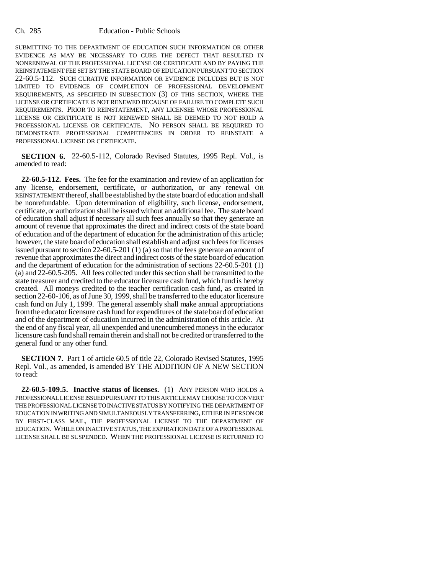## Ch. 285 Education - Public Schools

SUBMITTING TO THE DEPARTMENT OF EDUCATION SUCH INFORMATION OR OTHER EVIDENCE AS MAY BE NECESSARY TO CURE THE DEFECT THAT RESULTED IN NONRENEWAL OF THE PROFESSIONAL LICENSE OR CERTIFICATE AND BY PAYING THE REINSTATEMENT FEE SET BY THE STATE BOARD OF EDUCATION PURSUANT TO SECTION 22-60.5-112. SUCH CURATIVE INFORMATION OR EVIDENCE INCLUDES BUT IS NOT LIMITED TO EVIDENCE OF COMPLETION OF PROFESSIONAL DEVELOPMENT REQUIREMENTS, AS SPECIFIED IN SUBSECTION (3) OF THIS SECTION, WHERE THE LICENSE OR CERTIFICATE IS NOT RENEWED BECAUSE OF FAILURE TO COMPLETE SUCH REQUIREMENTS. PRIOR TO REINSTATEMENT, ANY LICENSEE WHOSE PROFESSIONAL LICENSE OR CERTIFICATE IS NOT RENEWED SHALL BE DEEMED TO NOT HOLD A PROFESSIONAL LICENSE OR CERTIFICATE. NO PERSON SHALL BE REQUIRED TO DEMONSTRATE PROFESSIONAL COMPETENCIES IN ORDER TO REINSTATE A PROFESSIONAL LICENSE OR CERTIFICATE.

**SECTION 6.** 22-60.5-112, Colorado Revised Statutes, 1995 Repl. Vol., is amended to read:

**22-60.5-112. Fees.** The fee for the examination and review of an application for any license, endorsement, certificate, or authorization, or any renewal OR REINSTATEMENT thereof, shall be established by the state board of education and shall be nonrefundable. Upon determination of eligibility, such license, endorsement, certificate, or authorization shall be issued without an additional fee. The state board of education shall adjust if necessary all such fees annually so that they generate an amount of revenue that approximates the direct and indirect costs of the state board of education and of the department of education for the administration of this article; however, the state board of education shall establish and adjust such fees for licenses issued pursuant to section 22-60.5-201 (1) (a) so that the fees generate an amount of revenue that approximates the direct and indirect costs of the state board of education and the department of education for the administration of sections 22-60.5-201 (1) (a) and 22-60.5-205. All fees collected under this section shall be transmitted to the state treasurer and credited to the educator licensure cash fund, which fund is hereby created. All moneys credited to the teacher certification cash fund, as created in section 22-60-106, as of June 30, 1999, shall be transferred to the educator licensure cash fund on July 1, 1999. The general assembly shall make annual appropriations from the educator licensure cash fund for expenditures of the state board of education and of the department of education incurred in the administration of this article. At the end of any fiscal year, all unexpended and unencumbered moneys in the educator licensure cash fund shall remain therein and shall not be credited or transferred to the general fund or any other fund.

**SECTION 7.** Part 1 of article 60.5 of title 22, Colorado Revised Statutes, 1995 Repl. Vol., as amended, is amended BY THE ADDITION OF A NEW SECTION to read:

**22-60.5-109.5. Inactive status of licenses.** (1) ANY PERSON WHO HOLDS A PROFESSIONAL LICENSE ISSUED PURSUANT TO THIS ARTICLE MAY CHOOSE TO CONVERT THE PROFESSIONAL LICENSE TO INACTIVE STATUS BY NOTIFYING THE DEPARTMENT OF EDUCATION IN WRITING AND SIMULTANEOUSLY TRANSFERRING, EITHER IN PERSON OR BY FIRST-CLASS MAIL, THE PROFESSIONAL LICENSE TO THE DEPARTMENT OF EDUCATION. WHILE ON INACTIVE STATUS, THE EXPIRATION DATE OF A PROFESSIONAL LICENSE SHALL BE SUSPENDED. WHEN THE PROFESSIONAL LICENSE IS RETURNED TO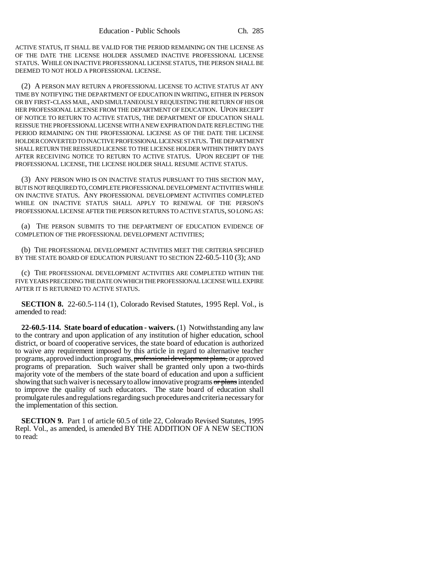ACTIVE STATUS, IT SHALL BE VALID FOR THE PERIOD REMAINING ON THE LICENSE AS OF THE DATE THE LICENSE HOLDER ASSUMED INACTIVE PROFESSIONAL LICENSE STATUS. WHILE ON INACTIVE PROFESSIONAL LICENSE STATUS, THE PERSON SHALL BE DEEMED TO NOT HOLD A PROFESSIONAL LICENSE.

(2) A PERSON MAY RETURN A PROFESSIONAL LICENSE TO ACTIVE STATUS AT ANY TIME BY NOTIFYING THE DEPARTMENT OF EDUCATION IN WRITING, EITHER IN PERSON OR BY FIRST-CLASS MAIL, AND SIMULTANEOUSLY REQUESTING THE RETURN OF HIS OR HER PROFESSIONAL LICENSE FROM THE DEPARTMENT OF EDUCATION. UPON RECEIPT OF NOTICE TO RETURN TO ACTIVE STATUS, THE DEPARTMENT OF EDUCATION SHALL REISSUE THE PROFESSIONAL LICENSE WITH A NEW EXPIRATION DATE REFLECTING THE PERIOD REMAINING ON THE PROFESSIONAL LICENSE AS OF THE DATE THE LICENSE HOLDER CONVERTED TO INACTIVE PROFESSIONAL LICENSE STATUS. THE DEPARTMENT SHALL RETURN THE REISSUED LICENSE TO THE LICENSE HOLDER WITHIN THIRTY DAYS AFTER RECEIVING NOTICE TO RETURN TO ACTIVE STATUS. UPON RECEIPT OF THE PROFESSIONAL LICENSE, THE LICENSE HOLDER SHALL RESUME ACTIVE STATUS.

(3) ANY PERSON WHO IS ON INACTIVE STATUS PURSUANT TO THIS SECTION MAY, BUT IS NOT REQUIRED TO, COMPLETE PROFESSIONAL DEVELOPMENT ACTIVITIES WHILE ON INACTIVE STATUS. ANY PROFESSIONAL DEVELOPMENT ACTIVITIES COMPLETED WHILE ON INACTIVE STATUS SHALL APPLY TO RENEWAL OF THE PERSON'S PROFESSIONAL LICENSE AFTER THE PERSON RETURNS TO ACTIVE STATUS, SO LONG AS:

(a) THE PERSON SUBMITS TO THE DEPARTMENT OF EDUCATION EVIDENCE OF COMPLETION OF THE PROFESSIONAL DEVELOPMENT ACTIVITIES;

(b) THE PROFESSIONAL DEVELOPMENT ACTIVITIES MEET THE CRITERIA SPECIFIED BY THE STATE BOARD OF EDUCATION PURSUANT TO SECTION 22-60.5-110 (3); AND

(c) THE PROFESSIONAL DEVELOPMENT ACTIVITIES ARE COMPLETED WITHIN THE FIVE YEARS PRECEDING THE DATE ON WHICH THE PROFESSIONAL LICENSE WILL EXPIRE AFTER IT IS RETURNED TO ACTIVE STATUS.

**SECTION 8.** 22-60.5-114 (1), Colorado Revised Statutes, 1995 Repl. Vol., is amended to read:

**22-60.5-114. State board of education - waivers.** (1) Notwithstanding any law to the contrary and upon application of any institution of higher education, school district, or board of cooperative services, the state board of education is authorized to waive any requirement imposed by this article in regard to alternative teacher programs, approved induction programs, professional development plans, or approved programs of preparation. Such waiver shall be granted only upon a two-thirds majority vote of the members of the state board of education and upon a sufficient showing that such waiver is necessary to allow innovative programs or plans intended to improve the quality of such educators. The state board of education shall promulgate rules and regulations regarding such procedures and criteria necessary for the implementation of this section.

**SECTION 9.** Part 1 of article 60.5 of title 22, Colorado Revised Statutes, 1995 Repl. Vol., as amended, is amended BY THE ADDITION OF A NEW SECTION to read: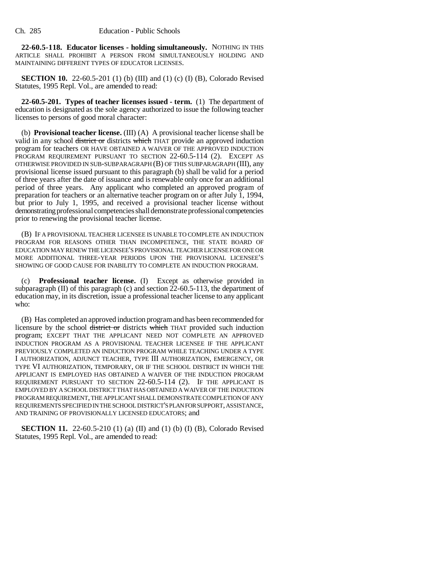**22-60.5-118. Educator licenses - holding simultaneously.** NOTHING IN THIS ARTICLE SHALL PROHIBIT A PERSON FROM SIMULTANEOUSLY HOLDING AND MAINTAINING DIFFERENT TYPES OF EDUCATOR LICENSES.

**SECTION 10.** 22-60.5-201 (1) (b) (III) and (1) (c) (I) (B), Colorado Revised Statutes, 1995 Repl. Vol., are amended to read:

**22-60.5-201. Types of teacher licenses issued - term.** (1) The department of education is designated as the sole agency authorized to issue the following teacher licenses to persons of good moral character:

(b) **Provisional teacher license.** (III) (A) A provisional teacher license shall be valid in any school district or districts which THAT provide an approved induction program for teachers OR HAVE OBTAINED A WAIVER OF THE APPROVED INDUCTION PROGRAM REQUIREMENT PURSUANT TO SECTION 22-60.5-114 (2). EXCEPT AS OTHERWISE PROVIDED IN SUB-SUBPARAGRAPH (B) OF THIS SUBPARAGRAPH (III), any provisional license issued pursuant to this paragraph (b) shall be valid for a period of three years after the date of issuance and is renewable only once for an additional period of three years. Any applicant who completed an approved program of preparation for teachers or an alternative teacher program on or after July 1, 1994, but prior to July 1, 1995, and received a provisional teacher license without demonstrating professional competencies shall demonstrate professional competencies prior to renewing the provisional teacher license.

(B) IF A PROVISIONAL TEACHER LICENSEE IS UNABLE TO COMPLETE AN INDUCTION PROGRAM FOR REASONS OTHER THAN INCOMPETENCE, THE STATE BOARD OF EDUCATION MAY RENEW THE LICENSEE'S PROVISIONAL TEACHER LICENSE FOR ONE OR MORE ADDITIONAL THREE-YEAR PERIODS UPON THE PROVISIONAL LICENSEE'S SHOWING OF GOOD CAUSE FOR INABILITY TO COMPLETE AN INDUCTION PROGRAM.

(c) **Professional teacher license.** (I) Except as otherwise provided in subparagraph  $(II)$  of this paragraph  $(c)$  and section  $22-60.5-113$ , the department of education may, in its discretion, issue a professional teacher license to any applicant who:

(B) Has completed an approved induction program and has been recommended for licensure by the school district or districts which THAT provided such induction program; EXCEPT THAT THE APPLICANT NEED NOT COMPLETE AN APPROVED INDUCTION PROGRAM AS A PROVISIONAL TEACHER LICENSEE IF THE APPLICANT PREVIOUSLY COMPLETED AN INDUCTION PROGRAM WHILE TEACHING UNDER A TYPE I AUTHORIZATION, ADJUNCT TEACHER, TYPE III AUTHORIZATION, EMERGENCY, OR TYPE VI AUTHORIZATION, TEMPORARY, OR IF THE SCHOOL DISTRICT IN WHICH THE APPLICANT IS EMPLOYED HAS OBTAINED A WAIVER OF THE INDUCTION PROGRAM REQUIREMENT PURSUANT TO SECTION 22-60.5-114 (2). IF THE APPLICANT IS EMPLOYED BY A SCHOOL DISTRICT THAT HAS OBTAINED A WAIVER OF THE INDUCTION PROGRAM REQUIREMENT, THE APPLICANT SHALL DEMONSTRATE COMPLETION OF ANY REQUIREMENTS SPECIFIED IN THE SCHOOL DISTRICT'S PLAN FOR SUPPORT, ASSISTANCE, AND TRAINING OF PROVISIONALLY LICENSED EDUCATORS; and

**SECTION 11.** 22-60.5-210 (1) (a) (II) and (1) (b) (I) (B), Colorado Revised Statutes, 1995 Repl. Vol., are amended to read: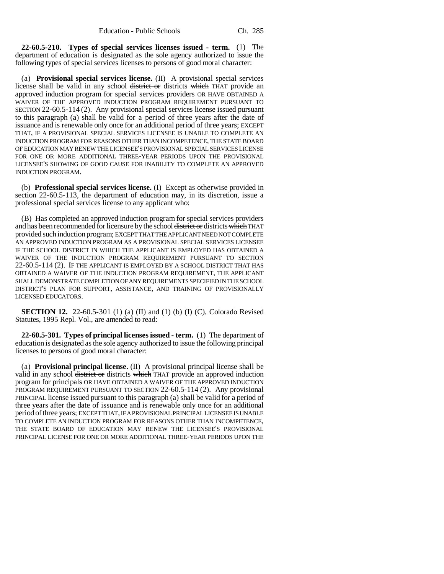**22-60.5-210. Types of special services licenses issued - term.** (1) The department of education is designated as the sole agency authorized to issue the following types of special services licenses to persons of good moral character:

(a) **Provisional special services license.** (II) A provisional special services license shall be valid in any school district or districts which THAT provide an approved induction program for special services providers OR HAVE OBTAINED A WAIVER OF THE APPROVED INDUCTION PROGRAM REQUIREMENT PURSUANT TO SECTION 22-60.5-114 (2). Any provisional special services license issued pursuant to this paragraph (a) shall be valid for a period of three years after the date of issuance and is renewable only once for an additional period of three years; EXCEPT THAT, IF A PROVISIONAL SPECIAL SERVICES LICENSEE IS UNABLE TO COMPLETE AN INDUCTION PROGRAM FOR REASONS OTHER THAN INCOMPETENCE, THE STATE BOARD OF EDUCATION MAY RENEW THE LICENSEE'S PROVISIONAL SPECIAL SERVICES LICENSE FOR ONE OR MORE ADDITIONAL THREE-YEAR PERIODS UPON THE PROVISIONAL LICENSEE'S SHOWING OF GOOD CAUSE FOR INABILITY TO COMPLETE AN APPROVED INDUCTION PROGRAM.

(b) **Professional special services license.** (I) Except as otherwise provided in section 22-60.5-113, the department of education may, in its discretion, issue a professional special services license to any applicant who:

(B) Has completed an approved induction program for special services providers and has been recommended for licensure by the school district or districts which THAT provided such induction program; EXCEPT THAT THE APPLICANT NEED NOT COMPLETE AN APPROVED INDUCTION PROGRAM AS A PROVISIONAL SPECIAL SERVICES LICENSEE IF THE SCHOOL DISTRICT IN WHICH THE APPLICANT IS EMPLOYED HAS OBTAINED A WAIVER OF THE INDUCTION PROGRAM REQUIREMENT PURSUANT TO SECTION 22-60.5-114 (2). IF THE APPLICANT IS EMPLOYED BY A SCHOOL DISTRICT THAT HAS OBTAINED A WAIVER OF THE INDUCTION PROGRAM REQUIREMENT, THE APPLICANT SHALL DEMONSTRATE COMPLETION OF ANY REQUIREMENTS SPECIFIED IN THE SCHOOL DISTRICT'S PLAN FOR SUPPORT, ASSISTANCE, AND TRAINING OF PROVISIONALLY LICENSED EDUCATORS.

**SECTION 12.** 22-60.5-301 (1) (a) (II) and (1) (b) (I) (C), Colorado Revised Statutes, 1995 Repl. Vol., are amended to read:

**22-60.5-301. Types of principal licenses issued - term.** (1) The department of education is designated as the sole agency authorized to issue the following principal licenses to persons of good moral character:

(a) **Provisional principal license.** (II) A provisional principal license shall be valid in any school district or districts which THAT provide an approved induction program for principals OR HAVE OBTAINED A WAIVER OF THE APPROVED INDUCTION PROGRAM REQUIREMENT PURSUANT TO SECTION 22-60.5-114 (2). Any provisional PRINCIPAL license issued pursuant to this paragraph (a) shall be valid for a period of three years after the date of issuance and is renewable only once for an additional period of three years; EXCEPT THAT, IF A PROVISIONAL PRINCIPAL LICENSEE IS UNABLE TO COMPLETE AN INDUCTION PROGRAM FOR REASONS OTHER THAN INCOMPETENCE, THE STATE BOARD OF EDUCATION MAY RENEW THE LICENSEE'S PROVISIONAL PRINCIPAL LICENSE FOR ONE OR MORE ADDITIONAL THREE-YEAR PERIODS UPON THE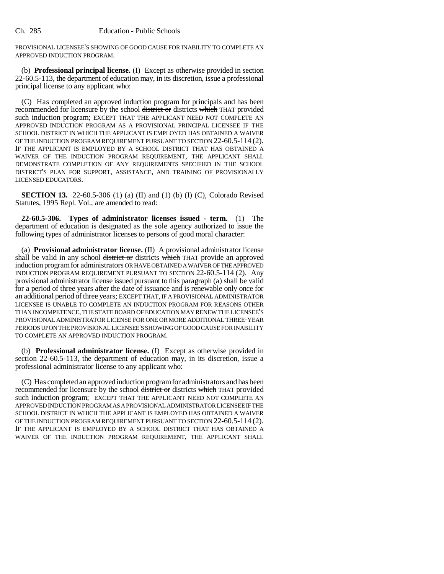PROVISIONAL LICENSEE'S SHOWING OF GOOD CAUSE FOR INABILITY TO COMPLETE AN APPROVED INDUCTION PROGRAM.

(b) **Professional principal license.** (I) Except as otherwise provided in section 22-60.5-113, the department of education may, in its discretion, issue a professional principal license to any applicant who:

(C) Has completed an approved induction program for principals and has been recommended for licensure by the school district or districts which THAT provided such induction program; EXCEPT THAT THE APPLICANT NEED NOT COMPLETE AN APPROVED INDUCTION PROGRAM AS A PROVISIONAL PRINCIPAL LICENSEE IF THE SCHOOL DISTRICT IN WHICH THE APPLICANT IS EMPLOYED HAS OBTAINED A WAIVER OF THE INDUCTION PROGRAM REQUIREMENT PURSUANT TO SECTION 22-60.5-114 (2). IF THE APPLICANT IS EMPLOYED BY A SCHOOL DISTRICT THAT HAS OBTAINED A WAIVER OF THE INDUCTION PROGRAM REQUIREMENT, THE APPLICANT SHALL DEMONSTRATE COMPLETION OF ANY REQUIREMENTS SPECIFIED IN THE SCHOOL DISTRICT'S PLAN FOR SUPPORT, ASSISTANCE, AND TRAINING OF PROVISIONALLY LICENSED EDUCATORS.

**SECTION 13.** 22-60.5-306 (1) (a) (II) and (1) (b) (I) (C), Colorado Revised Statutes, 1995 Repl. Vol., are amended to read:

**22-60.5-306. Types of administrator licenses issued - term.** (1) The department of education is designated as the sole agency authorized to issue the following types of administrator licenses to persons of good moral character:

(a) **Provisional administrator license.** (II) A provisional administrator license shall be valid in any school district or districts which THAT provide an approved induction program for administrators OR HAVE OBTAINED A WAIVER OF THE APPROVED INDUCTION PROGRAM REQUIREMENT PURSUANT TO SECTION 22-60.5-114 (2). Any provisional administrator license issued pursuant to this paragraph (a) shall be valid for a period of three years after the date of issuance and is renewable only once for an additional period of three years; EXCEPT THAT, IF A PROVISIONAL ADMINISTRATOR LICENSEE IS UNABLE TO COMPLETE AN INDUCTION PROGRAM FOR REASONS OTHER THAN INCOMPETENCE, THE STATE BOARD OF EDUCATION MAY RENEW THE LICENSEE'S PROVISIONAL ADMINISTRATOR LICENSE FOR ONE OR MORE ADDITIONAL THREE-YEAR PERIODS UPON THE PROVISIONAL LICENSEE'S SHOWING OF GOOD CAUSE FOR INABILITY TO COMPLETE AN APPROVED INDUCTION PROGRAM.

(b) **Professional administrator license.** (I) Except as otherwise provided in section 22-60.5-113, the department of education may, in its discretion, issue a professional administrator license to any applicant who:

(C) Has completed an approved induction program for administrators and has been recommended for licensure by the school district or districts which THAT provided such induction program; EXCEPT THAT THE APPLICANT NEED NOT COMPLETE AN APPROVED INDUCTION PROGRAM AS A PROVISIONAL ADMINISTRATOR LICENSEE IF THE SCHOOL DISTRICT IN WHICH THE APPLICANT IS EMPLOYED HAS OBTAINED A WAIVER OF THE INDUCTION PROGRAM REQUIREMENT PURSUANT TO SECTION 22-60.5-114 (2). IF THE APPLICANT IS EMPLOYED BY A SCHOOL DISTRICT THAT HAS OBTAINED A WAIVER OF THE INDUCTION PROGRAM REQUIREMENT, THE APPLICANT SHALL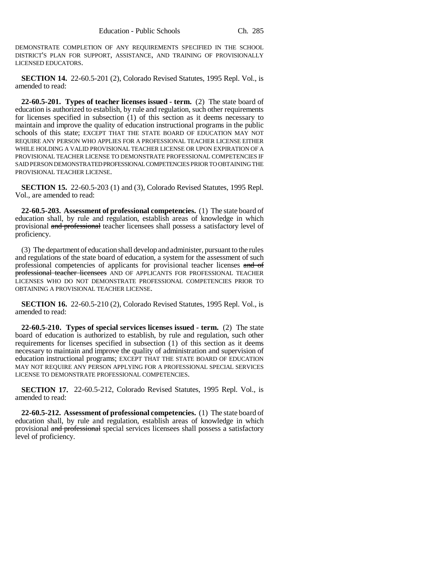DEMONSTRATE COMPLETION OF ANY REQUIREMENTS SPECIFIED IN THE SCHOOL DISTRICT'S PLAN FOR SUPPORT, ASSISTANCE, AND TRAINING OF PROVISIONALLY LICENSED EDUCATORS.

**SECTION 14.** 22-60.5-201 (2), Colorado Revised Statutes, 1995 Repl. Vol., is amended to read:

**22-60.5-201. Types of teacher licenses issued - term.** (2) The state board of education is authorized to establish, by rule and regulation, such other requirements for licenses specified in subsection (1) of this section as it deems necessary to maintain and improve the quality of education instructional programs in the public schools of this state; EXCEPT THAT THE STATE BOARD OF EDUCATION MAY NOT REQUIRE ANY PERSON WHO APPLIES FOR A PROFESSIONAL TEACHER LICENSE EITHER WHILE HOLDING A VALID PROVISIONAL TEACHER LICENSE OR UPON EXPIRATION OF A PROVISIONAL TEACHER LICENSE TO DEMONSTRATE PROFESSIONAL COMPETENCIES IF SAID PERSON DEMONSTRATED PROFESSIONAL COMPETENCIES PRIOR TO OBTAINING THE PROVISIONAL TEACHER LICENSE.

**SECTION 15.** 22-60.5-203 (1) and (3), Colorado Revised Statutes, 1995 Repl. Vol., are amended to read:

**22-60.5-203. Assessment of professional competencies.** (1) The state board of education shall, by rule and regulation, establish areas of knowledge in which provisional and professional teacher licensees shall possess a satisfactory level of proficiency.

(3) The department of education shall develop and administer, pursuant to the rules and regulations of the state board of education, a system for the assessment of such professional competencies of applicants for provisional teacher licenses and of professional teacher licensees AND OF APPLICANTS FOR PROFESSIONAL TEACHER LICENSES WHO DO NOT DEMONSTRATE PROFESSIONAL COMPETENCIES PRIOR TO OBTAINING A PROVISIONAL TEACHER LICENSE.

**SECTION 16.** 22-60.5-210 (2), Colorado Revised Statutes, 1995 Repl. Vol., is amended to read:

**22-60.5-210. Types of special services licenses issued - term.** (2) The state board of education is authorized to establish, by rule and regulation, such other requirements for licenses specified in subsection (1) of this section as it deems necessary to maintain and improve the quality of administration and supervision of education instructional programs; EXCEPT THAT THE STATE BOARD OF EDUCATION MAY NOT REQUIRE ANY PERSON APPLYING FOR A PROFESSIONAL SPECIAL SERVICES LICENSE TO DEMONSTRATE PROFESSIONAL COMPETENCIES.

**SECTION 17.** 22-60.5-212, Colorado Revised Statutes, 1995 Repl. Vol., is amended to read:

**22-60.5-212. Assessment of professional competencies.** (1) The state board of education shall, by rule and regulation, establish areas of knowledge in which provisional and professional special services licensees shall possess a satisfactory level of proficiency.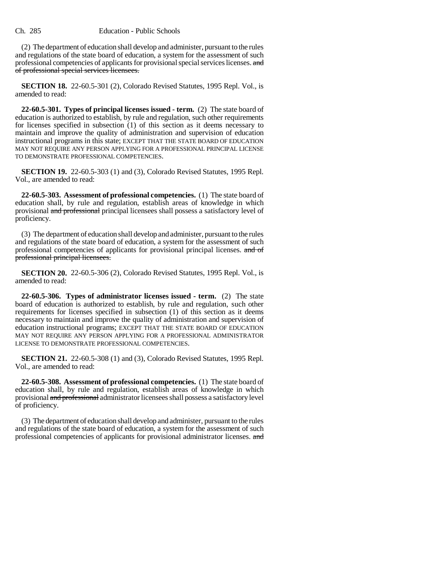(2) The department of education shall develop and administer, pursuant to the rules and regulations of the state board of education, a system for the assessment of such professional competencies of applicants for provisional special services licenses. and of professional special services licensees.

**SECTION 18.** 22-60.5-301 (2), Colorado Revised Statutes, 1995 Repl. Vol., is amended to read:

**22-60.5-301. Types of principal licenses issued - term.** (2) The state board of education is authorized to establish, by rule and regulation, such other requirements for licenses specified in subsection (1) of this section as it deems necessary to maintain and improve the quality of administration and supervision of education instructional programs in this state; EXCEPT THAT THE STATE BOARD OF EDUCATION MAY NOT REQUIRE ANY PERSON APPLYING FOR A PROFESSIONAL PRINCIPAL LICENSE TO DEMONSTRATE PROFESSIONAL COMPETENCIES.

**SECTION 19.** 22-60.5-303 (1) and (3), Colorado Revised Statutes, 1995 Repl. Vol., are amended to read:

**22-60.5-303. Assessment of professional competencies.** (1) The state board of education shall, by rule and regulation, establish areas of knowledge in which provisional and professional principal licensees shall possess a satisfactory level of proficiency.

(3) The department of education shall develop and administer, pursuant to the rules and regulations of the state board of education, a system for the assessment of such professional competencies of applicants for provisional principal licenses. and of professional principal licensees.

**SECTION 20.** 22-60.5-306 (2), Colorado Revised Statutes, 1995 Repl. Vol., is amended to read:

**22-60.5-306. Types of administrator licenses issued - term.** (2) The state board of education is authorized to establish, by rule and regulation, such other requirements for licenses specified in subsection (1) of this section as it deems necessary to maintain and improve the quality of administration and supervision of education instructional programs; EXCEPT THAT THE STATE BOARD OF EDUCATION MAY NOT REQUIRE ANY PERSON APPLYING FOR A PROFESSIONAL ADMINISTRATOR LICENSE TO DEMONSTRATE PROFESSIONAL COMPETENCIES.

**SECTION 21.** 22-60.5-308 (1) and (3), Colorado Revised Statutes, 1995 Repl. Vol., are amended to read:

**22-60.5-308. Assessment of professional competencies.** (1) The state board of education shall, by rule and regulation, establish areas of knowledge in which provisional and professional administrator licensees shall possess a satisfactory level of proficiency.

(3) The department of education shall develop and administer, pursuant to the rules and regulations of the state board of education, a system for the assessment of such professional competencies of applicants for provisional administrator licenses. and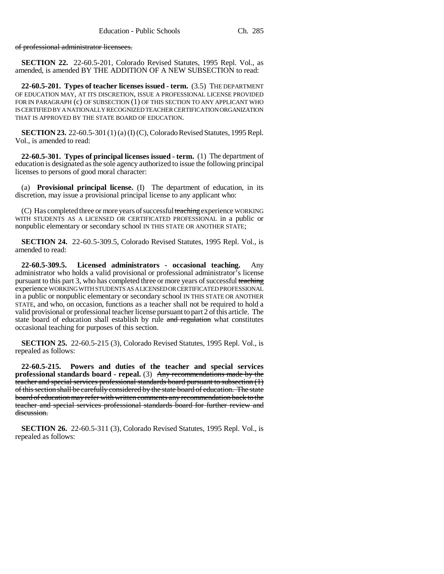of professional administrator licensees.

**SECTION 22.** 22-60.5-201, Colorado Revised Statutes, 1995 Repl. Vol., as amended, is amended BY THE ADDITION OF A NEW SUBSECTION to read:

**22-60.5-201. Types of teacher licenses issued - term.** (3.5) THE DEPARTMENT OF EDUCATION MAY, AT ITS DISCRETION, ISSUE A PROFESSIONAL LICENSE PROVIDED FOR IN PARAGRAPH (c) OF SUBSECTION (1) OF THIS SECTION TO ANY APPLICANT WHO IS CERTIFIED BY A NATIONALLY RECOGNIZED TEACHER CERTIFICATION ORGANIZATION THAT IS APPROVED BY THE STATE BOARD OF EDUCATION.

**SECTION 23.** 22-60.5-301 (1) (a) (I) (C), Colorado Revised Statutes, 1995 Repl. Vol., is amended to read:

**22-60.5-301. Types of principal licenses issued - term.** (1) The department of education is designated as the sole agency authorized to issue the following principal licenses to persons of good moral character:

(a) **Provisional principal license.** (I) The department of education, in its discretion, may issue a provisional principal license to any applicant who:

(C) Has completed three or more years of successful teaching experience WORKING WITH STUDENTS AS A LICENSED OR CERTIFICATED PROFESSIONAL in a public or nonpublic elementary or secondary school IN THIS STATE OR ANOTHER STATE;

**SECTION 24.** 22-60.5-309.5, Colorado Revised Statutes, 1995 Repl. Vol., is amended to read:

**22-60.5-309.5. Licensed administrators - occasional teaching.** Any administrator who holds a valid provisional or professional administrator's license pursuant to this part 3, who has completed three or more years of successful teaching experience WORKING WITH STUDENTS AS A LICENSED OR CERTIFICATED PROFESSIONAL in a public or nonpublic elementary or secondary school IN THIS STATE OR ANOTHER STATE, and who, on occasion, functions as a teacher shall not be required to hold a valid provisional or professional teacher license pursuant to part 2 of this article. The state board of education shall establish by rule and regulation what constitutes occasional teaching for purposes of this section.

**SECTION 25.** 22-60.5-215 (3), Colorado Revised Statutes, 1995 Repl. Vol., is repealed as follows:

**22-60.5-215. Powers and duties of the teacher and special services professional standards board - repeal.** (3) Any recommendations made by the teacher and special services professional standards board pursuant to subsection (1) of this section shall be carefully considered by the state board of education. The state board of education may refer with written comments any recommendation back to the teacher and special services professional standards board for further review and discussion.

**SECTION 26.** 22-60.5-311 (3), Colorado Revised Statutes, 1995 Repl. Vol., is repealed as follows: